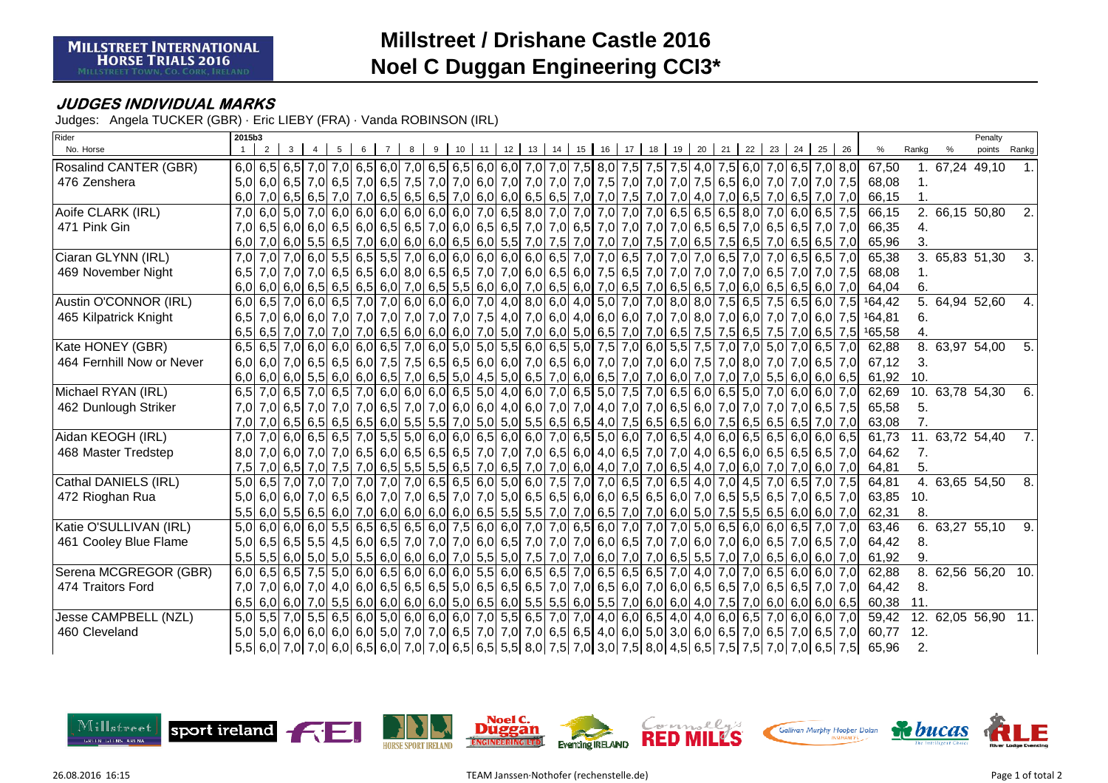## **Millstreet / Drishane Castle 2016Noel C Duggan Engineering CCI3\***

## **JUDGES INDIVIDUAL MARKS**

Judges: Angela TUCKER (GBR) · Eric LIEBY (FRA) · Vanda ROBINSON (IRL)

| Rider                     |                  | 2015b3  |   |  |   |  |  |   |                |    |                 |    |                                                                                                                                                                     |    |    |    |    |    |    | Penalty |    |    |    |    |    |    |        |       |               |                            |     |
|---------------------------|------------------|---------|---|--|---|--|--|---|----------------|----|-----------------|----|---------------------------------------------------------------------------------------------------------------------------------------------------------------------|----|----|----|----|----|----|---------|----|----|----|----|----|----|--------|-------|---------------|----------------------------|-----|
| No. Horse                 |                  | 2       | 3 |  | 5 |  |  | 8 | 9 <sub>1</sub> | 10 | 11 <sup>1</sup> | 12 | 13                                                                                                                                                                  | 14 | 15 | 16 | 17 | 18 | 19 | 20      | 21 | 22 | 23 | 24 | 25 | 26 | ℅      | Rankg | $\frac{0}{0}$ | points Rankg               |     |
| Rosalind CANTER (GBR)     |                  |         |   |  |   |  |  |   |                |    |                 |    | 6,0 7,0 6,5 7,0 7,0 6,5 7,0 8,0 7,0 6,5 6,0 7,0 6,5 6,0 6,0 7,0 7,0 7,0 7,5 8,0 7,5 7,5 7,5 4,0 7,5 6,0 7,0 6,5 7,0 6,5 7,0 8,0                                     |    |    |    |    |    |    |         |    |    |    |    |    |    | 67,50  |       |               | 67,24 49,10                |     |
| 476 Zenshera              |                  |         |   |  |   |  |  |   |                |    |                 |    | 5,0 6,0 7,0 7,0 7,0 7,0 7,0 7,5 6,5 7,0 6,6 7,5 7,0 7,0 6,0 7,0 7,0 7,0 7,0 7,5 7,0 7,5 7,0 7,0 7,5 6,5 6,0 7,0 7,0 7,0 7,0 7,5                                     |    |    |    |    |    |    |         |    |    |    |    |    |    | 68,08  |       |               |                            |     |
|                           | 6.0              |         |   |  |   |  |  |   |                |    |                 |    | 7,0 6,5 7,0 7,0 6,5 7,0 7,0 6,5 6,5 6,5 6,5 7,0 6,0 6,0 6,0 6,5 6,5 7,0 7,0 7,5 7,0 7,0 4,0 7,0 6,5 7,0 6,5 7,0 7,0 7,0                                             |    |    |    |    |    |    |         |    |    |    |    |    |    | 66,15  |       |               |                            |     |
| Aoife CLARK (IRL)         |                  | 7.060   |   |  |   |  |  |   |                |    |                 |    | 5,0 7,0 6,0 6,0 6,0 6,0 6,0 6,0 6,0 7,0 7,0 6,5 8,0 7,0 7,0 7,0 7,0 7,0 6,5 6,5 6,5 6,5 8,0 7,0 6,0 6,5 7,5                                                         |    |    |    |    |    |    |         |    |    |    |    |    |    | 66,15  |       |               | 2.66,15.50,80              | 2.1 |
| 471 Pink Gin              |                  |         |   |  |   |  |  |   |                |    |                 |    | 7,0 6,5 6,0 6,0 6,5 6,0 6,5 6,0 6,5 7,0 6,5 7,0 6,0 6,5 6,5 7,0 7,0 6,5 7,0 7,0 7,0 7,0 6,5 6,5 7,0 6,5 7,0 6,5 6,5 7,0 7,0                                         |    |    |    |    |    |    |         |    |    |    |    |    |    | 66,35  | 4.    |               |                            |     |
|                           | 6,0              |         |   |  |   |  |  |   |                |    |                 |    | 7,0 6,0 5,5 6,5 7,0 6,6 7,0 6,0 6,0 6,0 6,0 6,5 6,0 5,5 7,0 7,5 7,0 7,0 7,0 7,0 7,5 7,0 6,5 7,5 6,5 7,0 6,5 6,5 7,0 6,5 7,0                                         |    |    |    |    |    |    |         |    |    |    |    |    |    | 65,96  | 3.    |               |                            |     |
| Ciaran GLYNN (IRL)        | 7,0              | 7.0     |   |  |   |  |  |   |                |    |                 |    | 7,0 6,0 5,5 6,5 7,0 6,5 7,0 6,0 6,0 6,0 6,0 6,0 6,0 6,5 7,0 7,0 6,5 7,0 7,0 7,0 6,5 7,0 7,0 6,5 6,5 7,0                                                             |    |    |    |    |    |    |         |    |    |    |    |    |    | 65,38  |       |               | 3.65,8351,30               | 3.  |
| 469 November Night        | 6.5              |         |   |  |   |  |  |   |                |    |                 |    | 7,0 7,0 7,0 7,0 6,5 7,0 6,5 6,6 6,75 7,0 6,5 6,6 7,0 7,0 6,0 6,5 6,0 7,5 6,5 7,0 7,0 7,0 7,0 7,0 7,0 6,5 7,0 7,0 7,5                                                |    |    |    |    |    |    |         |    |    |    |    |    |    | 68,08  |       |               |                            |     |
|                           |                  |         |   |  |   |  |  |   |                |    |                 |    | 6,0 6,0 6,0 6,0 6,5 6,5 6,6 6,0 7,0 6,5 6,0 6,0 6,0 6,0 7,0 6,5 6,0 7,0 6,5 7,0 6,5 7,0 6,5 7,0 6,0 6,0 6,6 6,6 6,0 7,0 6,0 7,0                                     |    |    |    |    |    |    |         |    |    |    |    |    |    | 64,04  | 6.    |               |                            |     |
| Austin O'CONNOR (IRL)     |                  |         |   |  |   |  |  |   |                |    |                 |    | 6,0 6,5 7,0 6,0 6,5 7,0 6,0 6,5 7,0 7,0 6,0 6,0 6,0 7,0 4,0 8,0 6,0 4,0 5,0 7,0 7,0 8,0 8,0 7,5 6,5 7,5 6,5 6,0 7,5                                                 |    |    |    |    |    |    |         |    |    |    |    |    |    | 164,42 |       |               | $\overline{6.64,94}$ 52,60 | 4.  |
| 465 Kilpatrick Knight     | 6.5              |         |   |  |   |  |  |   |                |    |                 |    |                                                                                                                                                                     |    |    |    |    |    |    |         |    |    |    |    |    |    | 164,81 | 6.    |               |                            |     |
|                           |                  |         |   |  |   |  |  |   |                |    |                 |    | 6,5 6,5 7,0 7,0 7,0 7,0 7,0 6,5 7,5 6,0 7,0 6,0 7,0 5,0 7,0 6,0 7,0 6,0 5,0 7,0 7,0 7,0 6,5 7,5 7,5 6,5 7,5 7,0 6,5 7,5 7,0 6,5 7,5                                 |    |    |    |    |    |    |         |    |    |    |    |    |    | 165,58 |       |               |                            |     |
| Kate HONEY (GBR)          |                  |         |   |  |   |  |  |   |                |    |                 |    | 6,5 6,5 7,0 6,0 6,0 6,0 6,0 6,5 7,0 6,0 5,0 5,0 5,5 6,0 6,5 5,0 7,5 7,0 6,0 5,5 7,5 7,0 7,0 5,0 7,0 6,5 7,0                                                         |    |    |    |    |    |    |         |    |    |    |    |    |    | 62,88  |       |               | 8. 63,97 54,00             | 5.  |
| 464 Fernhill Now or Never |                  |         |   |  |   |  |  |   |                |    |                 |    | 6,0   7,0   6,5   6,5   6,6   7,5   7,5   7,5   6,5   6,6   6,0   7,0   6,5   6,0   7,0   7,0   7,0   7,0   7,5   7,0   8,0   7,0   7,0   6,5   7,0                 |    |    |    |    |    |    |         |    |    |    |    |    |    | 67,12  | 3.    |               |                            |     |
|                           |                  |         |   |  |   |  |  |   |                |    |                 |    | 6,0 6,0 6,0 6,0 6,0 6,0 6,0 6,0 6,5 7,0 6,5 6,0 4,5 5,0 6,5 7,0 6,0 6,5 7,0 7,0 7,0 6,0 7,0 7,0 7,0 7,0 5,5 6,0 6,0 6,0 6,0                                         |    |    |    |    |    |    |         |    |    |    |    |    |    | 61,92  | 10.   |               |                            |     |
| Michael RYAN (IRL)        |                  |         |   |  |   |  |  |   |                |    |                 |    | 6,5 7,0 6,5 7,0 6,5 7,0 6,6 7,0 6,0 6,0 6,0 6,0 6,5 5,0 4,0 6,0 7,0 6,5 5,0 7,5 7,0 6,5 6,0 6,5 5,0 7,0 6,0 6,0 6,0 7,0                                             |    |    |    |    |    |    |         |    |    |    |    |    |    | 62,69  |       |               | 10. 63,78 54,30            | 6.1 |
| 462 Dunlough Striker      | 7.0 <sub>l</sub> |         |   |  |   |  |  |   |                |    |                 |    | 7,0 6,5 7,0 7,0 7,0 7,0 7,0 6,5 7,0 6,5 7,0 6,0 6,0 6,0 4,0 6,0 7,0 7,0 4,0 7,0 7,0 6,5 6,0 7,0 7,0 7,0 7,0 6,5 7,5                                                 |    |    |    |    |    |    |         |    |    |    |    |    |    | 65,58  | 5.    |               |                            |     |
|                           |                  |         |   |  |   |  |  |   |                |    |                 |    | 7,0 7,5 6,5 6,5 6,5 6,5 6,5 6,5 6,5 6,70 6,9 6,70 6,0 6,5 6,5 6,5 6,5 6,5 6,5 6,5 6,6 7,5 6,5 6,5 6,5 6,5 6,5 7,0 7,0                                               |    |    |    |    |    |    |         |    |    |    |    |    |    | 63,08  | 7.    |               |                            |     |
| Aidan KEOGH (IRL)         | 7,0              |         |   |  |   |  |  |   |                |    |                 |    | 7,0 6,0 6,5 6,5 6,5 7,0 5,5 5,0 6,0 6,0 6,0 6,5 6,0 6,0 7,0 6,5 5,0 6,0 7,0 6,5 4,0 6,0 6,5 6,5 6,5 6,0 6,0 6,5                                                     |    |    |    |    |    |    |         |    |    |    |    |    |    | 61,73  |       |               | 11. 63,72 54,40            | 7.1 |
| 468 Master Tredstep       | 8.0              |         |   |  |   |  |  |   |                |    |                 |    | 7,0 6,0 7,0 6,5 6,5 6,5 6,6 7,0 6,5 6,5 6,5 6,5 7,0 7,0 6,5 6,0 4,0 6,5 7,0 7,0 4,0 6,5 6,0 6,5 6,5 6,5 6,5 7,0                                                     |    |    |    |    |    |    |         |    |    |    |    |    |    | 64,62  | 7.    |               |                            |     |
|                           | 7,5              |         |   |  |   |  |  |   |                |    |                 |    | 7,0 6,0 7,0 6,0 7,0 6,0 7,0 6,0 7,0 6,1 7,0 6,5 7,0 6,5 7,0 7,0 6,0 4,0 7,0 7,0 6,5 4,0 7,0 6,0 7,0 6,0 7,0 6,0 7,0                                                 |    |    |    |    |    |    |         |    |    |    |    |    |    | 64,81  | 5.    |               |                            |     |
| Cathal DANIELS (IRL)      |                  |         |   |  |   |  |  |   |                |    |                 |    | 5,0 6,5 7,0 7,0 7,0 7,0 7,0 7,0 7,0 6,5 6,5 6,6 6,0 5,0 6,0 7,5 7,0 7,0 6,5 7,0 6,5 4,0 7,0 4,5 7,0 6,5 7,0 7,5                                                     |    |    |    |    |    |    |         |    |    |    |    |    |    | 64,81  |       |               | 4. 63,65 54,50             | 8.  |
| 472 Rioghan Rua           | 5.0              |         |   |  |   |  |  |   |                |    |                 |    | 6,0 6,0 7,0 6,5 6,5 7,0 6,5 7,0 7,0 6,5 7,0 7,0 5,0 6,5 6,5 6,0 6,0 6,5 6,5 6,0 7,0 6,5 5,5 6,5 7,0 6,5 7,0                                                         |    |    |    |    |    |    |         |    |    |    |    |    |    | 63,85  | 10.   |               |                            |     |
|                           |                  |         |   |  |   |  |  |   |                |    |                 |    | 5,5 6,6 6,6 6,6 6,0 7,0 6,0 6,0 6,0 6,0 6,0 6,0 6,5 5,5 5,5 7,0 7,0 6,5 7,0 7,0 6,6 7,0 7,0 6,0 7,5 5,5 6,5 6,0 6,0 7,0 6,0 7,0                                     |    |    |    |    |    |    |         |    |    |    |    |    |    | 62,31  | 8.    |               |                            |     |
| Katie O'SULLIVAN (IRL)    |                  | 5.0 6.0 |   |  |   |  |  |   |                |    |                 |    | 6,0 6,0 6,0 6,0 6,5 6,5 6,5 6,6 7,6 6,0 7,6 6,0 7,0 7,0 6,5 6,0 7,0 7,0 7,0 7,0 5,0 6,5 6,0 6,0 6,0 6,5 7,0 7,0                                                     |    |    |    |    |    |    |         |    |    |    |    |    |    | 63,46  |       |               | 6. 63,27 55,10             | 9.  |
| 461 Cooley Blue Flame     |                  |         |   |  |   |  |  |   |                |    |                 |    | 5,0 6,5 6,6 6,6 6,6 7,0 6,6 6,7 6,0 6,5 7,0 6,0 6,5 7,0 6,0 6,5 7,0 7,0 6,0 6,5 7,0 6,0 7,0 6,0 6,0 6,5 7,0 6,5 7,0 6,5 7,0                                         |    |    |    |    |    |    |         |    |    |    |    |    |    | 64,42  | 8.    |               |                            |     |
|                           |                  |         |   |  |   |  |  |   |                |    |                 |    | 5,5 5,6 6,0 5,0 5,0 5,0 6,0 6,0 6,0 6,0 7,0 5,5 5,0 7,5 7,0 7,0 6,0 7,0 7,0 7,0 6,5 5,5 7,0 7,0 6,5 6,0 6,0 6,0 7,0                                                 |    |    |    |    |    |    |         |    |    |    |    |    |    | 61,92  | 9.    |               |                            |     |
| Serena MCGREGOR (GBR)     |                  |         |   |  |   |  |  |   |                |    |                 |    | 6,0 6,5 6,5 7,5 5,0 6,0 6,5 6,0 6,0 6,0 6,0 5,5 6,0 6,5 6,5 7,0 6,5 6,5 6,5 7,0 4,0 7,0 7,0 6,5 6,0 6,0 7,0                                                         |    |    |    |    |    |    |         |    |    |    |    |    |    | 62,88  |       |               | 8. 62,56 56,20 10.         |     |
| 474 Traitors Ford         | 7,0              |         |   |  |   |  |  |   |                |    |                 |    |                                                                                                                                                                     |    |    |    |    |    |    |         |    |    |    |    |    |    | 64,42  | 8.    |               |                            |     |
|                           |                  |         |   |  |   |  |  |   |                |    |                 |    | $6,5$ 6,0 $6,0$ 7,0 $5,5$ 6,0 $6,0$ 6,0 $6,0$ 6,0 $6,0$ 5,0 $6,0$ 6,5 $6,0$ 5,5 $5,5$ 6,0 $5,5$ 7,0 $6,0$ 6,0 $4,0$ 7,5 $7,0$ 6,0 $6,0$ 6,0 $6,0$ 6,0 $6,0$         |    |    |    |    |    |    |         |    |    |    |    |    |    | 60,38  | 11.   |               |                            |     |
| Jesse CAMPBELL (NZL)      |                  |         |   |  |   |  |  |   |                |    |                 |    | 5,0 5,5 7,0 5,5 6,5 6,0 5,0 6,0 6,0 6,0 6,0 6,0 7,0 5,5 6,5 7,0 7,0 4,0 6,0 6,5 4,0 4,0 6,0 6,5 7,0 6,0 6,0 6,0 7,0                                                 |    |    |    |    |    |    |         |    |    |    |    |    |    | 59,42  |       |               | 12. 62,05 56,90 11.        |     |
| 460 Cleveland             |                  |         |   |  |   |  |  |   |                |    |                 |    | 5,0 6,0 6,0 6,0 6,0 6,0 6,0 6,0 7,0 7,0 6,5 7,0 7,0 7,0 6,5 6,5 4,0 6,0 5,0 3,0 6,0 6,5 7,0 6,5 7,0 6,5 7,0 6,5 7,0                                                 |    |    |    |    |    |    |         |    |    |    |    |    |    | 60,77  | 12.   |               |                            |     |
|                           |                  |         |   |  |   |  |  |   |                |    |                 |    | $ 5,5 $ 6,0 $ 7,0 $ 7,0 $ 6,0 $ 6,5 $ 6,0 $ 7,0 $ 7,0 $ 6,5 $ 6,5 $ 5,5 $ 8,0 $ 7,5 $ 7,0 $ 3,0 $ 7,5 $ 8,0 $ 4,5 $ 6,5 $ 7,5 $ 7,5 $ 7,5 $ 7,0 $ 7,0 $ 6,5 $ 7,5 $ |    |    |    |    |    |    |         |    |    |    |    |    |    | 65,96  | 2.    |               |                            |     |